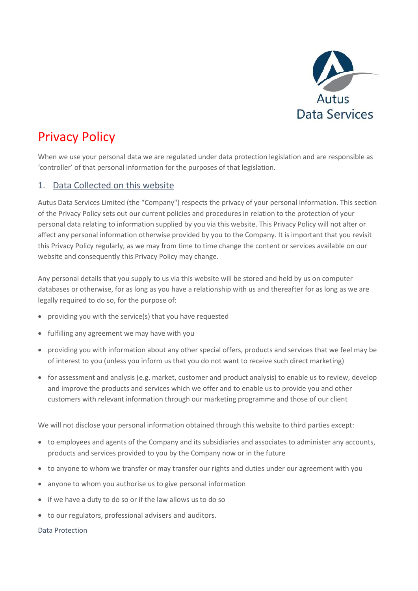

# Privacy Policy

When we use your personal data we are regulated under data protection legislation and are responsible as 'controller' of that personal information for the purposes of that legislation.

## 1. Data Collected on this website

Autus Data Services Limited (the "Company") respects the privacy of your personal information. This section of the Privacy Policy sets out our current policies and procedures in relation to the protection of your personal data relating to information supplied by you via this website. This Privacy Policy will not alter or affect any personal information otherwise provided by you to the Company. It is important that you revisit this Privacy Policy regularly, as we may from time to time change the content or services available on our website and consequently this Privacy Policy may change.

Any personal details that you supply to us via this website will be stored and held by us on computer databases or otherwise, for as long as you have a relationship with us and thereafter for as long as we are legally required to do so, for the purpose of:

- providing you with the service(s) that you have requested
- fulfilling any agreement we may have with you
- providing you with information about any other special offers, products and services that we feel may be of interest to you (unless you inform us that you do not want to receive such direct marketing)
- for assessment and analysis (e.g. market, customer and product analysis) to enable us to review, develop and improve the products and services which we offer and to enable us to provide you and other customers with relevant information through our marketing programme and those of our client

We will not disclose your personal information obtained through this website to third parties except:

- to employees and agents of the Company and its subsidiaries and associates to administer any accounts, products and services provided to you by the Company now or in the future
- to anyone to whom we transfer or may transfer our rights and duties under our agreement with you
- anyone to whom you authorise us to give personal information
- if we have a duty to do so or if the law allows us to do so
- to our regulators, professional advisers and auditors.

#### Data Protection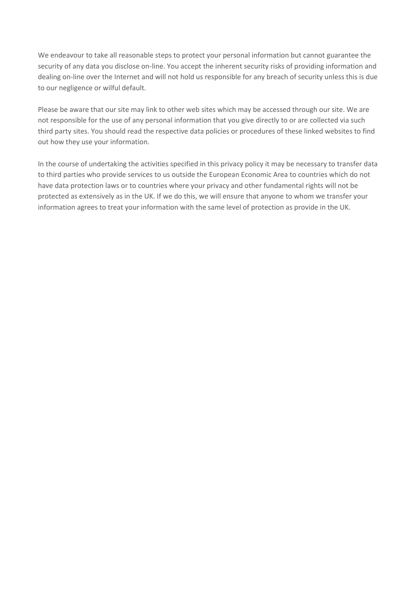We endeavour to take all reasonable steps to protect your personal information but cannot guarantee the security of any data you disclose on-line. You accept the inherent security risks of providing information and dealing on-line over the Internet and will not hold us responsible for any breach of security unless this is due to our negligence or wilful default.

Please be aware that our site may link to other web sites which may be accessed through our site. We are not responsible for the use of any personal information that you give directly to or are collected via such third party sites. You should read the respective data policies or procedures of these linked websites to find out how they use your information.

In the course of undertaking the activities specified in this privacy policy it may be necessary to transfer data to third parties who provide services to us outside the European Economic Area to countries which do not have data protection laws or to countries where your privacy and other fundamental rights will not be protected as extensively as in the UK. If we do this, we will ensure that anyone to whom we transfer your information agrees to treat your information with the same level of protection as provide in the UK.